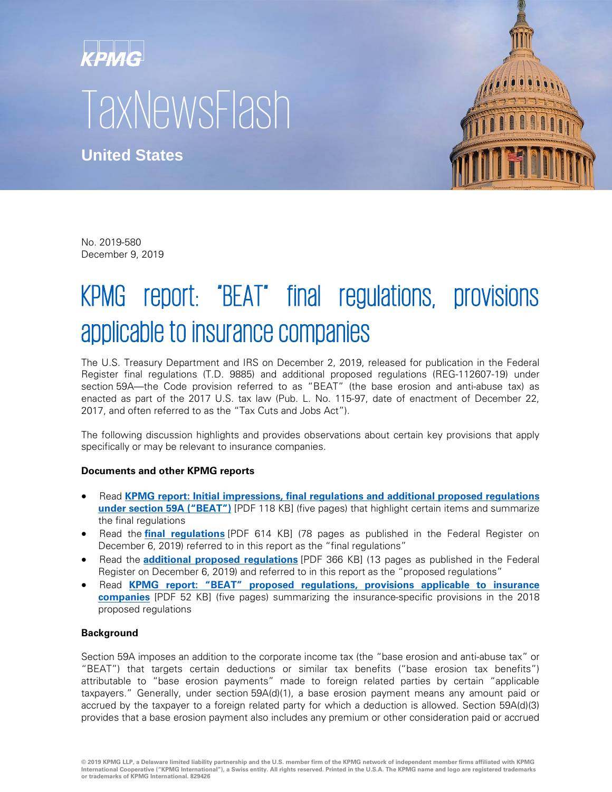# KPMG **TaxNewsFlash**

**United States**



No. 2019-580 December 9, 2019

# KPMG report: "BEAT" final regulations, provisions applicable to insurance companies

The U.S. Treasury Department and IRS on December 2, 2019, released for publication in the Federal Register final regulations (T.D. 9885) and additional proposed regulations (REG-112607-19) under section 59A—the Code provision referred to as "BEAT" (the base erosion and anti-abuse tax) as enacted as part of the 2017 U.S. tax law (Pub. L. No. 115-97, date of enactment of December 22, 2017, and often referred to as the "Tax Cuts and Jobs Act").

The following discussion highlights and provides observations about certain key provisions that apply specifically or may be relevant to insurance companies.

## **Documents and other KPMG reports**

- Read **[KPMG report: Initial impressions, final regulations and additional proposed regulations](https://assets.kpmg/content/dam/kpmg/us/pdf/2019/12/19569.pdf)  [under section 59A \("BEAT"\)](https://assets.kpmg/content/dam/kpmg/us/pdf/2019/12/19569.pdf)** [PDF 118 KB] (five pages) that highlight certain items and summarize the final regulations
- Read the **[final regulations](https://www.govinfo.gov/content/pkg/FR-2019-12-06/pdf/2019-25744.pdf)** [PDF 614 KB] (78 pages as published in the Federal Register on December 6, 2019) referred to in this report as the "final regulations"
- Read the **[additional proposed regulations](https://www.govinfo.gov/content/pkg/FR-2019-12-06/pdf/2019-25745.pdf)** [PDF 366 KB] (13 pages as published in the Federal Register on December 6, 2019) and referred to in this report as the "proposed regulations"
- Read **[KPMG report: "BEAT" proposed regulations, provisions applicable to insurance](https://tax.kpmg.us/content/dam/tax/en/pdfs/2018/18590.pdf)  [companies](https://tax.kpmg.us/content/dam/tax/en/pdfs/2018/18590.pdf)** [PDF 52 KB] (five pages) summarizing the insurance-specific provisions in the 2018 proposed regulations

## **Background**

Section 59A imposes an addition to the corporate income tax (the "base erosion and anti-abuse tax" or "BEAT") that targets certain deductions or similar tax benefits ("base erosion tax benefits") attributable to "base erosion payments" made to foreign related parties by certain "applicable taxpayers." Generally, under section 59A(d)(1), a base erosion payment means any amount paid or accrued by the taxpayer to a foreign related party for which a deduction is allowed. Section 59A(d)(3) provides that a base erosion payment also includes any premium or other consideration paid or accrued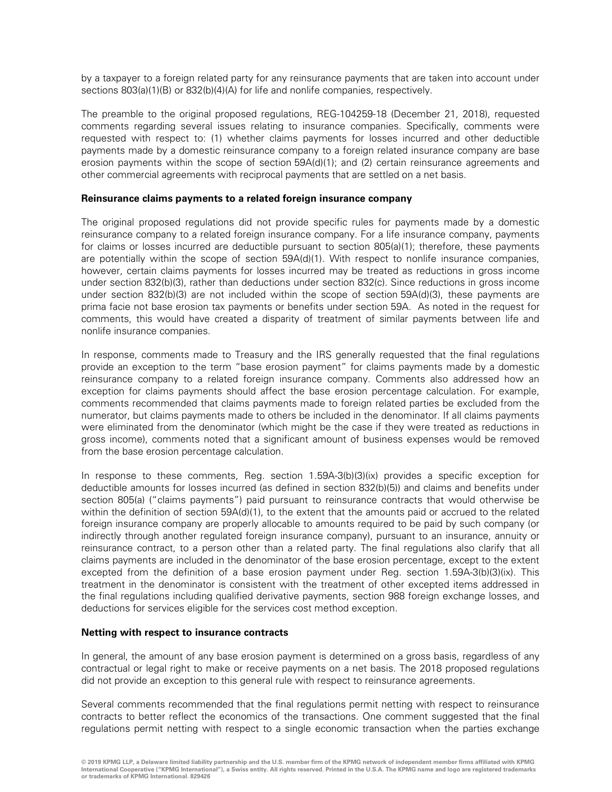by a taxpayer to a foreign related party for any reinsurance payments that are taken into account under sections 803(a)(1)(B) or 832(b)(4)(A) for life and nonlife companies, respectively.

The preamble to the original proposed regulations, REG-104259-18 (December 21, 2018), requested comments regarding several issues relating to insurance companies. Specifically, comments were requested with respect to: (1) whether claims payments for losses incurred and other deductible payments made by a domestic reinsurance company to a foreign related insurance company are base erosion payments within the scope of section 59A(d)(1); and (2) certain reinsurance agreements and other commercial agreements with reciprocal payments that are settled on a net basis.

#### **Reinsurance claims payments to a related foreign insurance company**

The original proposed regulations did not provide specific rules for payments made by a domestic reinsurance company to a related foreign insurance company. For a life insurance company, payments for claims or losses incurred are deductible pursuant to section 805(a)(1); therefore, these payments are potentially within the scope of section 59A(d)(1). With respect to nonlife insurance companies, however, certain claims payments for losses incurred may be treated as reductions in gross income under section 832(b)(3), rather than deductions under section 832(c). Since reductions in gross income under section 832(b)(3) are not included within the scope of section 59A(d)(3), these payments are prima facie not base erosion tax payments or benefits under section 59A. As noted in the request for comments, this would have created a disparity of treatment of similar payments between life and nonlife insurance companies.

In response, comments made to Treasury and the IRS generally requested that the final regulations provide an exception to the term "base erosion payment" for claims payments made by a domestic reinsurance company to a related foreign insurance company. Comments also addressed how an exception for claims payments should affect the base erosion percentage calculation. For example, comments recommended that claims payments made to foreign related parties be excluded from the numerator, but claims payments made to others be included in the denominator. If all claims payments were eliminated from the denominator (which might be the case if they were treated as reductions in gross income), comments noted that a significant amount of business expenses would be removed from the base erosion percentage calculation.

In response to these comments, Reg. section 1.59A-3(b)(3)(ix) provides a specific exception for deductible amounts for losses incurred (as defined in section 832(b)(5)) and claims and benefits under section 805(a) ("claims payments") paid pursuant to reinsurance contracts that would otherwise be within the definition of section 59A(d)(1), to the extent that the amounts paid or accrued to the related foreign insurance company are properly allocable to amounts required to be paid by such company (or indirectly through another regulated foreign insurance company), pursuant to an insurance, annuity or reinsurance contract, to a person other than a related party. The final regulations also clarify that all claims payments are included in the denominator of the base erosion percentage, except to the extent excepted from the definition of a base erosion payment under Reg. section 1.59A-3(b)(3)(ix). This treatment in the denominator is consistent with the treatment of other excepted items addressed in the final regulations including qualified derivative payments, section 988 foreign exchange losses, and deductions for services eligible for the services cost method exception.

#### **Netting with respect to insurance contracts**

In general, the amount of any base erosion payment is determined on a gross basis, regardless of any contractual or legal right to make or receive payments on a net basis. The 2018 proposed regulations did not provide an exception to this general rule with respect to reinsurance agreements.

Several comments recommended that the final regulations permit netting with respect to reinsurance contracts to better reflect the economics of the transactions. One comment suggested that the final regulations permit netting with respect to a single economic transaction when the parties exchange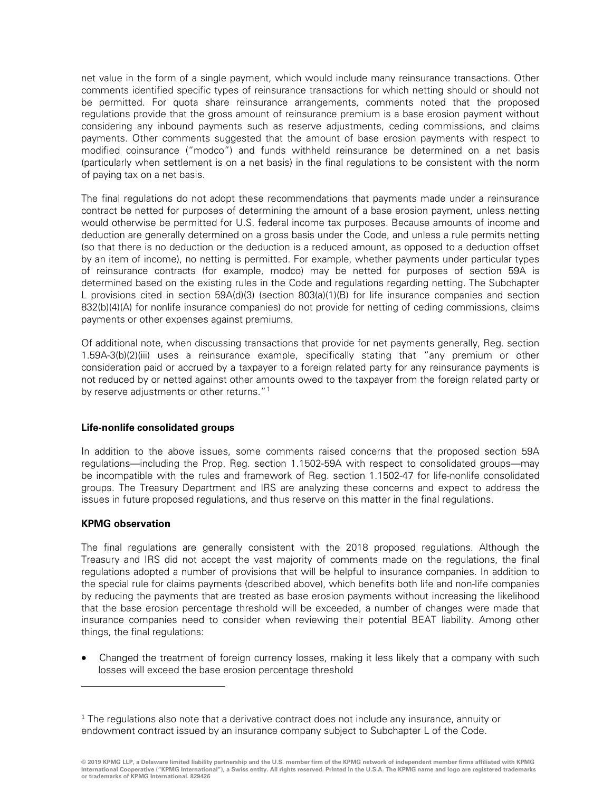net value in the form of a single payment, which would include many reinsurance transactions. Other comments identified specific types of reinsurance transactions for which netting should or should not be permitted. For quota share reinsurance arrangements, comments noted that the proposed regulations provide that the gross amount of reinsurance premium is a base erosion payment without considering any inbound payments such as reserve adjustments, ceding commissions, and claims payments. Other comments suggested that the amount of base erosion payments with respect to modified coinsurance ("modco") and funds withheld reinsurance be determined on a net basis (particularly when settlement is on a net basis) in the final regulations to be consistent with the norm of paying tax on a net basis.

The final regulations do not adopt these recommendations that payments made under a reinsurance contract be netted for purposes of determining the amount of a base erosion payment, unless netting would otherwise be permitted for U.S. federal income tax purposes. Because amounts of income and deduction are generally determined on a gross basis under the Code, and unless a rule permits netting (so that there is no deduction or the deduction is a reduced amount, as opposed to a deduction offset by an item of income), no netting is permitted. For example, whether payments under particular types of reinsurance contracts (for example, modco) may be netted for purposes of section 59A is determined based on the existing rules in the Code and regulations regarding netting. The Subchapter L provisions cited in section 59A(d)(3) (section 803(a)(1)(B) for life insurance companies and section 832(b)(4)(A) for nonlife insurance companies) do not provide for netting of ceding commissions, claims payments or other expenses against premiums.

Of additional note, when discussing transactions that provide for net payments generally, Reg. section 1.59A-3(b)(2)(iii) uses a reinsurance example, specifically stating that "any premium or other consideration paid or accrued by a taxpayer to a foreign related party for any reinsurance payments is not reduced by or netted against other amounts owed to the taxpayer from the foreign related party or by reserve adjustments or other returns." $1$ 

#### **Life-nonlife consolidated groups**

In addition to the above issues, some comments raised concerns that the proposed section 59A regulations—including the Prop. Reg. section 1.1502-59A with respect to consolidated groups—may be incompatible with the rules and framework of Reg. section 1.1502-47 for life-nonlife consolidated groups. The Treasury Department and IRS are analyzing these concerns and expect to address the issues in future proposed regulations, and thus reserve on this matter in the final regulations.

#### **KPMG observation**

-

The final regulations are generally consistent with the 2018 proposed regulations. Although the Treasury and IRS did not accept the vast majority of comments made on the regulations, the final regulations adopted a number of provisions that will be helpful to insurance companies. In addition to the special rule for claims payments (described above), which benefits both life and non-life companies by reducing the payments that are treated as base erosion payments without increasing the likelihood that the base erosion percentage threshold will be exceeded, a number of changes were made that insurance companies need to consider when reviewing their potential BEAT liability. Among other things, the final regulations:

• Changed the treatment of foreign currency losses, making it less likely that a company with such losses will exceed the base erosion percentage threshold

<span id="page-2-0"></span><sup>1</sup> The regulations also note that a derivative contract does not include any insurance, annuity or endowment contract issued by an insurance company subject to Subchapter L of the Code.